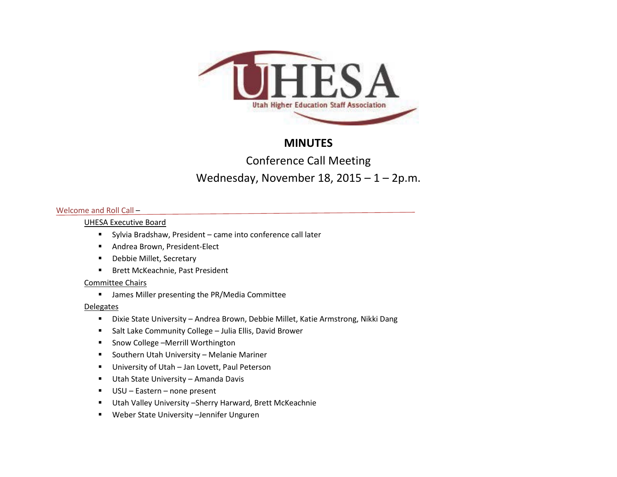

# **MINUTES**

# Conference Call Meeting

# Wednesday, November 18,  $2015 - 1 - 2p.m$ .

## Welcome and Roll Call –

## UHESA Executive Board

- Sylvia Bradshaw, President came into conference call later
- **Andrea Brown, President-Elect**
- **-** Debbie Millet, Secretary
- **Brett McKeachnie, Past President**

# Committee Chairs

**■** James Miller presenting the PR/Media Committee

# **Delegates**

- Dixie State University Andrea Brown, Debbie Millet, Katie Armstrong, Nikki Dang
- Salt Lake Community College Julia Ellis, David Brower
- Snow College –Merrill Worthington
- **E** Southern Utah University Melanie Mariner
- **University of Utah Jan Lovett, Paul Peterson**
- Utah State University Amanda Davis
- USU Eastern none present
- Utah Valley University –Sherry Harward, Brett McKeachnie
- Weber State University –Jennifer Unguren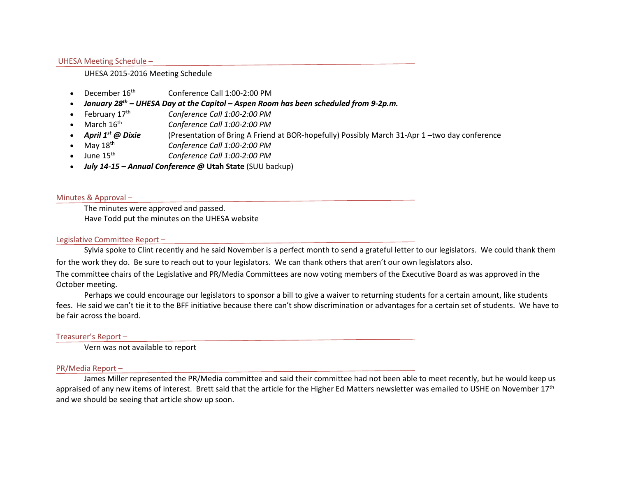#### UHESA Meeting Schedule –

#### UHESA 2015-2016 Meeting Schedule

- December  $16<sup>th</sup>$  Conference Call  $1:00-2:00 \text{ PM}$
- *January 28th – UHESA Day at the Capitol – Aspen Room has been scheduled from 9-2p.m.*
- February 17th *Conference Call 1:00-2:00 PM*
- March 16th *Conference Call 1:00-2:00 PM*
- *April 1st @ Dixie* (Presentation of Bring A Friend at BOR-hopefully) Possibly March 31-Apr 1 –two day conference
- May 18th *Conference Call 1:00-2:00 PM*
- June 15th *Conference Call 1:00-2:00 PM*
- *July 14-15 – Annual Conference @* **Utah State** (SUU backup)

#### Minutes & Approval –

The minutes were approved and passed. Have Todd put the minutes on the UHESA website

#### Legislative Committee Report –

Sylvia spoke to Clint recently and he said November is a perfect month to send a grateful letter to our legislators. We could thank them for the work they do. Be sure to reach out to your legislators. We can thank others that aren't our own legislators also.

The committee chairs of the Legislative and PR/Media Committees are now voting members of the Executive Board as was approved in the October meeting.

Perhaps we could encourage our legislators to sponsor a bill to give a waiver to returning students for a certain amount, like students fees. He said we can't tie it to the BFF initiative because there can't show discrimination or advantages for a certain set of students. We have to be fair across the board.

#### Treasurer's Report –

Vern was not available to report

#### PR/Media Report –

James Miller represented the PR/Media committee and said their committee had not been able to meet recently, but he would keep us appraised of any new items of interest. Brett said that the article for the Higher Ed Matters newsletter was emailed to USHE on November 17<sup>th</sup> and we should be seeing that article show up soon.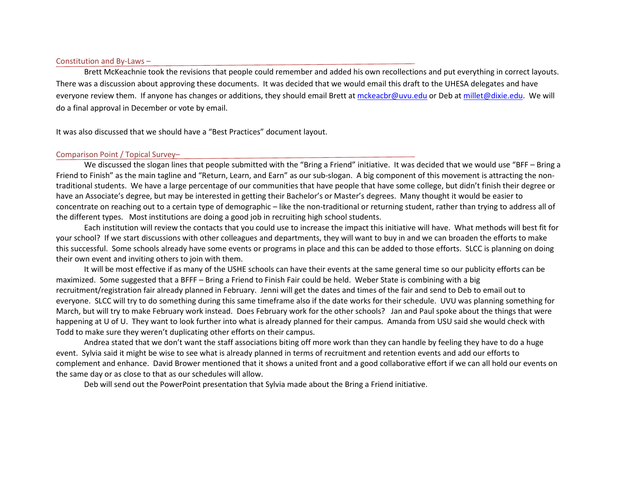#### Constitution and By-Laws –

Brett McKeachnie took the revisions that people could remember and added his own recollections and put everything in correct layouts. There was a discussion about approving these documents. It was decided that we would email this draft to the UHESA delegates and have everyone review them. If anyone has changes or additions, they should email Brett a[t mckeacbr@uvu.edu](mailto:mckeacbr@uvu.edu) or Deb at [millet@dixie.edu.](mailto:millet@dixie.edu) We will do a final approval in December or vote by email.

It was also discussed that we should have a "Best Practices" document layout.

#### Comparison Point / Topical Survey–

We discussed the slogan lines that people submitted with the "Bring a Friend" initiative. It was decided that we would use "BFF – Bring a Friend to Finish" as the main tagline and "Return, Learn, and Earn" as our sub-slogan. A big component of this movement is attracting the nontraditional students. We have a large percentage of our communities that have people that have some college, but didn't finish their degree or have an Associate's degree, but may be interested in getting their Bachelor's or Master's degrees. Many thought it would be easier to concentrate on reaching out to a certain type of demographic – like the non-traditional or returning student, rather than trying to address all of the different types. Most institutions are doing a good job in recruiting high school students.

Each institution will review the contacts that you could use to increase the impact this initiative will have. What methods will best fit for your school? If we start discussions with other colleagues and departments, they will want to buy in and we can broaden the efforts to make this successful. Some schools already have some events or programs in place and this can be added to those efforts. SLCC is planning on doing their own event and inviting others to join with them.

It will be most effective if as many of the USHE schools can have their events at the same general time so our publicity efforts can be maximized. Some suggested that a BFFF – Bring a Friend to Finish Fair could be held. Weber State is combining with a big recruitment/registration fair already planned in February. Jenni will get the dates and times of the fair and send to Deb to email out to everyone. SLCC will try to do something during this same timeframe also if the date works for their schedule. UVU was planning something for March, but will try to make February work instead. Does February work for the other schools? Jan and Paul spoke about the things that were happening at U of U. They want to look further into what is already planned for their campus. Amanda from USU said she would check with Todd to make sure they weren't duplicating other efforts on their campus.

Andrea stated that we don't want the staff associations biting off more work than they can handle by feeling they have to do a huge event. Sylvia said it might be wise to see what is already planned in terms of recruitment and retention events and add our efforts to complement and enhance. David Brower mentioned that it shows a united front and a good collaborative effort if we can all hold our events on the same day or as close to that as our schedules will allow.

Deb will send out the PowerPoint presentation that Sylvia made about the Bring a Friend initiative.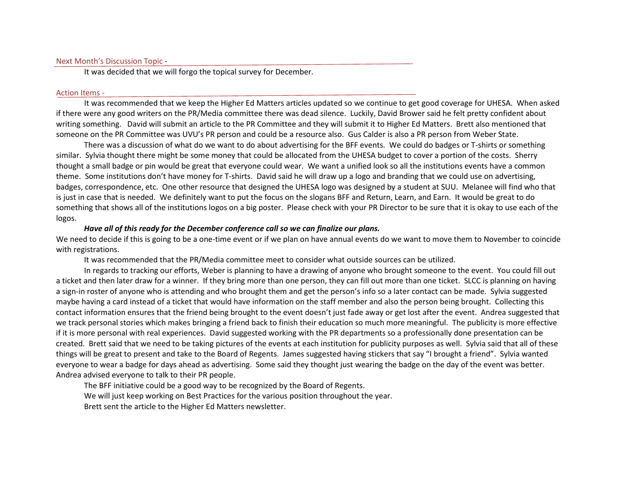#### Next Month's Discussion Topic -

It was decided that we will forgo the topical survey for December.

#### Action Items -

It was recommended that we keep the Higher Ed Matters articles updated so we continue to get good coverage for UHESA. When asked if there were any good writers on the PR/Media committee there was dead silence. Luckily, David Brower said he felt pretty confident about writing something. David will submit an article to the PR Committee and they will submit it to Higher Ed Matters. Brett also mentioned that someone on the PR Committee was UVU's PR person and could be a resource also. Gus Calder is also a PR person from Weber State.

There was a discussion of what do we want to do about advertising for the BFF events. We could do badges or T-shirts or something similar. Sylvia thought there might be some money that could be allocated from the UHESA budget to cover a portion of the costs. Sherry thought a small badge or pin would be great that everyone could wear. We want a unified look so all the institutions events have a common theme. Some institutions don't have money for T-shirts. David said he will draw up a logo and branding that we could use on advertising, badges, correspondence, etc. One other resource that designed the UHESA logo was designed by a student at SUU. Melanee will find who that is just in case that is needed. We definitely want to put the focus on the slogans BFF and Return, Learn, and Earn. It would be great to do something that shows all of the institutions logos on a big poster. Please check with your PR Director to be sure that it is okay to use each of the logos.

#### *Have all of this ready for the December conference call so we can finalize our plans.*

We need to decide if this is going to be a one-time event or if we plan on have annual events do we want to move them to November to coincide with registrations.

It was recommended that the PR/Media committee meet to consider what outside sources can be utilized.

In regards to tracking our efforts, Weber is planning to have a drawing of anyone who brought someone to the event. You could fill out a ticket and then later draw for a winner. If they bring more than one person, they can fill out more than one ticket. SLCC is planning on having a sign-in roster of anyone who is attending and who brought them and get the person's info so a later contact can be made. Sylvia suggested maybe having a card instead of a ticket that would have information on the staff member and also the person being brought. Collecting this contact information ensures that the friend being brought to the event doesn't just fade away or get lost after the event. Andrea suggested that we track personal stories which makes bringing a friend back to finish their education so much more meaningful. The publicity is more effective if it is more personal with real experiences. David suggested working with the PR departments so a professionally done presentation can be created. Brett said that we need to be taking pictures of the events at each institution for publicity purposes as well. Sylvia said that all of these things will be great to present and take to the Board of Regents. James suggested having stickers that say "I brought a friend". Sylvia wanted everyone to wear a badge for days ahead as advertising. Some said they thought just wearing the badge on the day of the event was better. Andrea advised everyone to talk to their PR people.

The BFF initiative could be a good way to be recognized by the Board of Regents. We will just keep working on Best Practices for the various position throughout the year. Brett sent the article to the Higher Ed Matters newsletter.